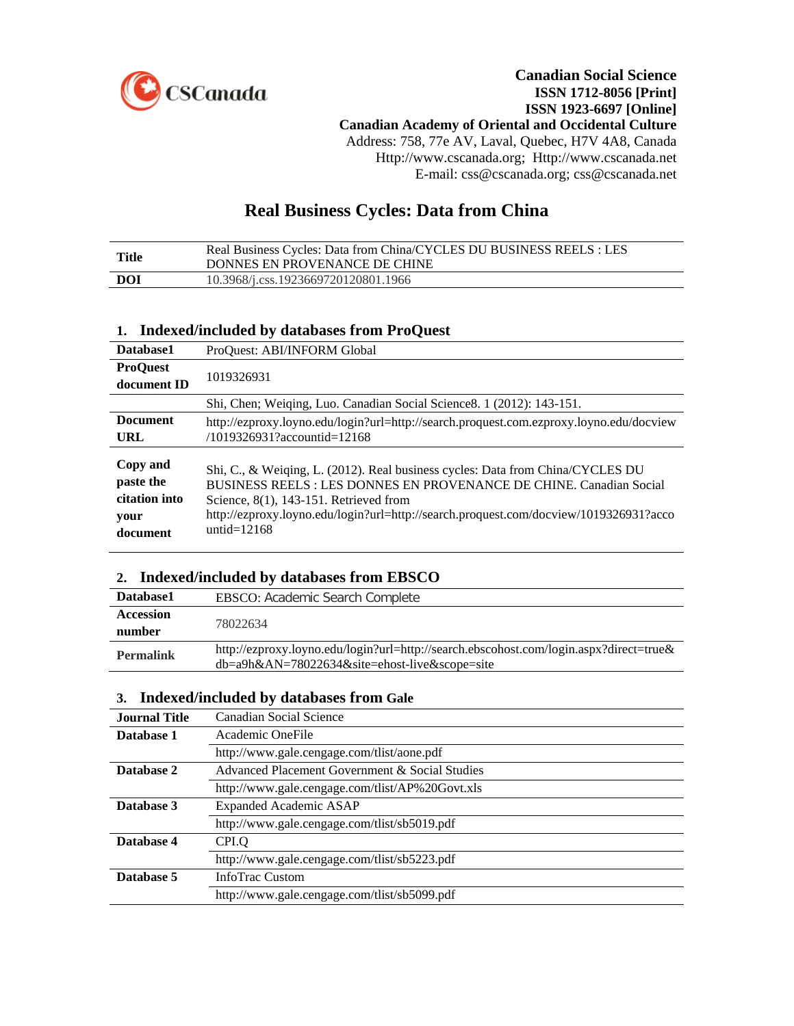

## **Canadian Social Science ISSN 1712-8056 [Print] ISSN 1923-6697 [Online] Canadian Academy of Oriental and Occidental Culture** Address: 758, 77e AV, Laval, Quebec, H7V 4A8, Canada Http://www.cscanada.org; Http://www.cscanada.net E-mail: css@cscanada.org; css@cscanada.net

# **Real Business Cycles: Data from China**

| Title | Real Business Cycles: Data from China/CYCLES DU BUSINESS REELS : LES<br>DONNES EN PROVENANCE DE CHINE |
|-------|-------------------------------------------------------------------------------------------------------|
| DOI   | 10.3968/j.css.1923669720120801.1966                                                                   |

## **1. Indexed/included by databases from ProQuest**

| Database1                                                  | ProQuest: ABI/INFORM Global                                                                                                                                                                                                                                                                                   |
|------------------------------------------------------------|---------------------------------------------------------------------------------------------------------------------------------------------------------------------------------------------------------------------------------------------------------------------------------------------------------------|
| <b>ProQuest</b>                                            |                                                                                                                                                                                                                                                                                                               |
| document ID                                                | 1019326931                                                                                                                                                                                                                                                                                                    |
|                                                            | Shi, Chen; Weiqing, Luo. Canadian Social Science 8. 1 (2012): 143-151.                                                                                                                                                                                                                                        |
| <b>Document</b>                                            | http://ezproxy.loyno.edu/login?url=http://search.proquest.com.ezproxy.loyno.edu/docview                                                                                                                                                                                                                       |
| URL                                                        | /1019326931?accountid=12168                                                                                                                                                                                                                                                                                   |
| Copy and<br>paste the<br>citation into<br>your<br>document | Shi, C., & Weiging, L. (2012). Real business cycles: Data from China/CYCLES DU<br>BUSINESS REELS : LES DONNES EN PROVENANCE DE CHINE. Canadian Social<br>Science, $8(1)$ , 143-151. Retrieved from<br>http://ezproxy.loyno.edu/login?url=http://search.proquest.com/docview/1019326931?acco<br>untid= $12168$ |

# **2. Indexed/included by databases from EBSCO**

| Database1        | <b>EBSCO:</b> Academic Search Complete                                                                                                                                    |
|------------------|---------------------------------------------------------------------------------------------------------------------------------------------------------------------------|
| <b>Accession</b> | 78022634                                                                                                                                                                  |
| number           |                                                                                                                                                                           |
| <b>Permalink</b> | http://ezproxy.loyno.edu/login?url=http://search.ebscohost.com/login.aspx?direct=true&<br>$db = a9h&AN = 78022634&site = \text{ehost-live} \& \text{scope} = \text{site}$ |

## **3. Indexed/included by databases from Gale**

| <b>Journal Title</b> | Canadian Social Science                         |
|----------------------|-------------------------------------------------|
| Database 1           | Academic OneFile                                |
|                      | http://www.gale.cengage.com/tlist/aone.pdf      |
| Database 2           | Advanced Placement Government & Social Studies  |
|                      | http://www.gale.cengage.com/tlist/AP%20Govt.xls |
| Database 3           | <b>Expanded Academic ASAP</b>                   |
|                      | http://www.gale.cengage.com/tlist/sb5019.pdf    |
| Database 4           | CPI.Q                                           |
|                      | http://www.gale.cengage.com/tlist/sb5223.pdf    |
| Database 5           | InfoTrac Custom                                 |
|                      | http://www.gale.cengage.com/tlist/sb5099.pdf    |
|                      |                                                 |